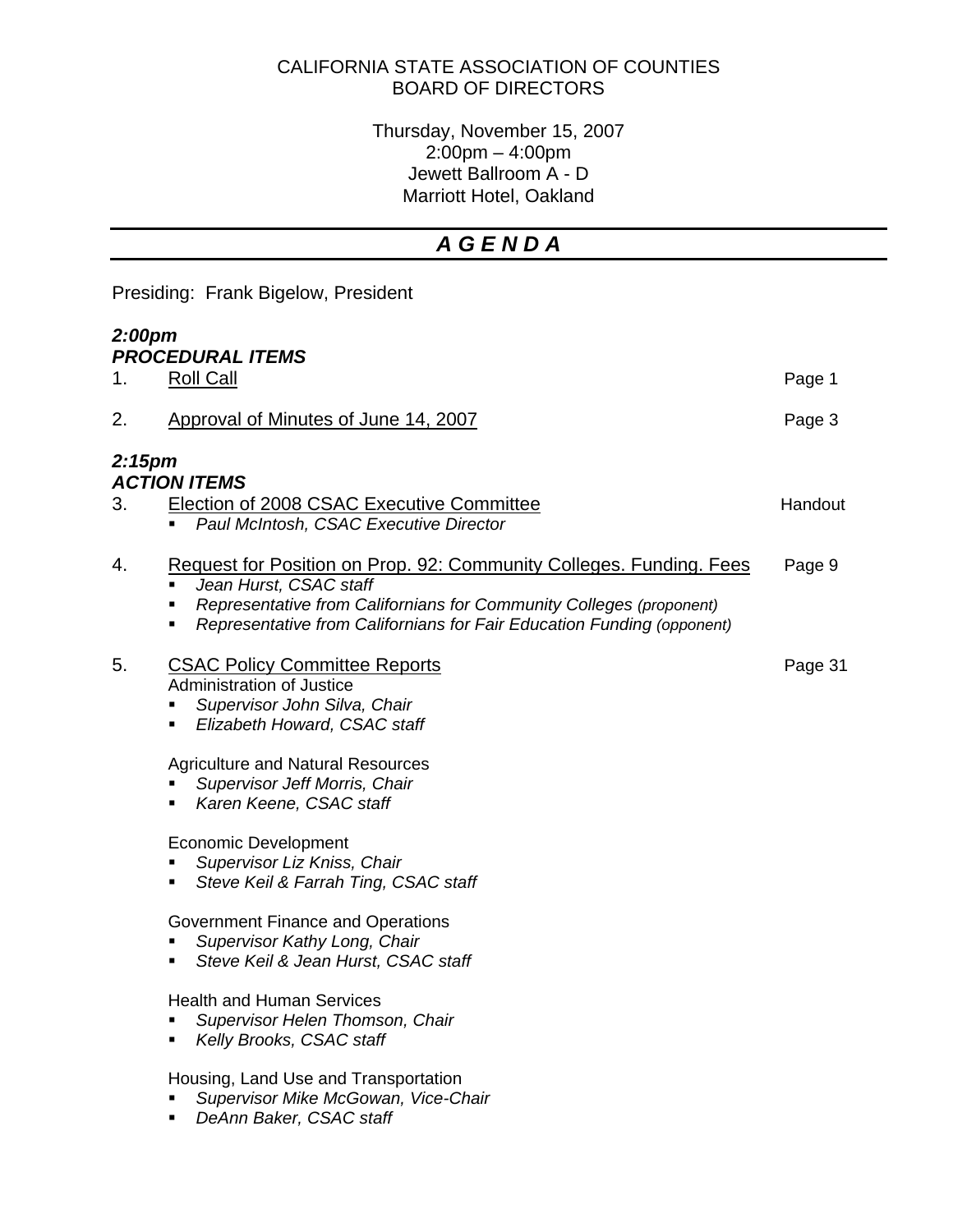## CALIFORNIA STATE ASSOCIATION OF COUNTIES BOARD OF DIRECTORS

Thursday, November 15, 2007 2:00pm – 4:00pm Jewett Ballroom A - D Marriott Hotel, Oakland

## *A G E N D A*

| Presiding: Frank Bigelow, President       |                                                                                                                                                                                                                                                                             |         |  |
|-------------------------------------------|-----------------------------------------------------------------------------------------------------------------------------------------------------------------------------------------------------------------------------------------------------------------------------|---------|--|
| 2:00pm<br><b>PROCEDURAL ITEMS</b>         |                                                                                                                                                                                                                                                                             |         |  |
| 1.                                        | <b>Roll Call</b>                                                                                                                                                                                                                                                            | Page 1  |  |
| 2.                                        | Approval of Minutes of June 14, 2007                                                                                                                                                                                                                                        | Page 3  |  |
| 2:15 <sub>pm</sub><br><b>ACTION ITEMS</b> |                                                                                                                                                                                                                                                                             |         |  |
| 3.                                        | <b>Election of 2008 CSAC Executive Committee</b><br>Paul McIntosh, CSAC Executive Director                                                                                                                                                                                  | Handout |  |
| 4.                                        | <u><b>Request for Position on Prop. 92: Community Colleges. Funding. Fees</b></u><br>Jean Hurst, CSAC staff<br>٠<br>Representative from Californians for Community Colleges (proponent)<br>٠<br>Representative from Californians for Fair Education Funding (opponent)<br>٠ | Page 9  |  |
| 5.                                        | <b>CSAC Policy Committee Reports</b><br><b>Administration of Justice</b><br>Supervisor John Silva, Chair<br>٠<br>Elizabeth Howard, CSAC staff<br>٠                                                                                                                          | Page 31 |  |
|                                           | <b>Agriculture and Natural Resources</b><br>Supervisor Jeff Morris, Chair<br>Karen Keene, CSAC staff<br>٠                                                                                                                                                                   |         |  |
|                                           | <b>Economic Development</b><br>Supervisor Liz Kniss, Chair<br>п<br>Steve Keil & Farrah Ting, CSAC staff<br>٠                                                                                                                                                                |         |  |
|                                           | Government Finance and Operations<br>Supervisor Kathy Long, Chair<br>Steve Keil & Jean Hurst, CSAC staff<br>٠                                                                                                                                                               |         |  |
|                                           | <b>Health and Human Services</b><br>Supervisor Helen Thomson, Chair<br>Kelly Brooks, CSAC staff                                                                                                                                                                             |         |  |
|                                           | Housing, Land Use and Transportation<br>Supervisor Mike McGowan, Vice-Chair<br>DeAnn Baker, CSAC staff<br>$\blacksquare$                                                                                                                                                    |         |  |